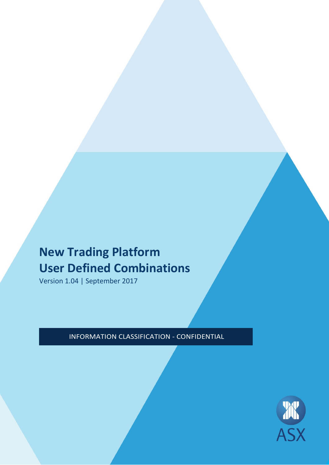# **New Trading Platform User Defined Combinations**

Version 1.04 | September 2017

INFORMATION CLASSIFICATION - CONFIDENTIAL

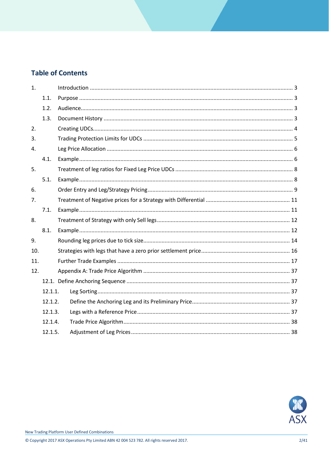### **Table of Contents**

| 1.  |         |  |  |  |  |
|-----|---------|--|--|--|--|
|     | 1.1.    |  |  |  |  |
|     | 1.2.    |  |  |  |  |
|     | 1.3.    |  |  |  |  |
| 2.  |         |  |  |  |  |
| 3.  |         |  |  |  |  |
| 4.  |         |  |  |  |  |
|     | 4.1.    |  |  |  |  |
| 5.  |         |  |  |  |  |
|     | 5.1.    |  |  |  |  |
| 6.  |         |  |  |  |  |
| 7.  |         |  |  |  |  |
|     | 7.1.    |  |  |  |  |
| 8.  |         |  |  |  |  |
|     | 8.1.    |  |  |  |  |
| 9.  |         |  |  |  |  |
| 10. |         |  |  |  |  |
| 11. |         |  |  |  |  |
| 12. |         |  |  |  |  |
|     |         |  |  |  |  |
|     | 12.1.1. |  |  |  |  |
|     | 12.1.2. |  |  |  |  |
|     | 12.1.3. |  |  |  |  |
|     | 12.1.4. |  |  |  |  |
|     | 12.1.5. |  |  |  |  |

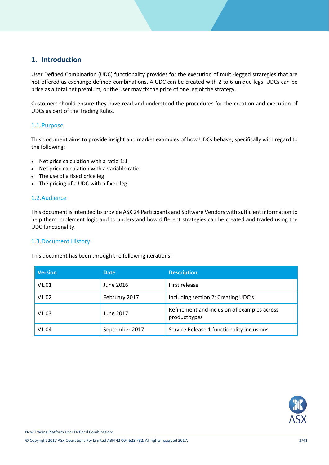### <span id="page-2-0"></span>**1. Introduction**

User Defined Combination (UDC) functionality provides for the execution of multi-legged strategies that are not offered as exchange defined combinations. A UDC can be created with 2 to 6 unique legs. UDCs can be price as a total net premium, or the user may fix the price of one leg of the strategy.

Customers should ensure they have read and understood the procedures for the creation and execution of UDCs as part of the Trading Rules.

#### <span id="page-2-1"></span>1.1.Purpose

This document aims to provide insight and market examples of how UDCs behave; specifically with regard to the following:

- Net price calculation with a ratio 1:1
- Net price calculation with a variable ratio
- The use of a fixed price leg
- The pricing of a UDC with a fixed leg

#### <span id="page-2-2"></span>1.2.Audience

This document is intended to provide ASX 24 Participants and Software Vendors with sufficient information to help them implement logic and to understand how different strategies can be created and traded using the UDC functionality.

#### <span id="page-2-3"></span>1.3.Document History

This document has been through the following iterations:

| <b>Version</b> | <b>Date</b>    | <b>Description</b>                                           |
|----------------|----------------|--------------------------------------------------------------|
| V1.01          | June 2016      | First release                                                |
| V1.02          | February 2017  | Including section 2: Creating UDC's                          |
| V1.03          | June 2017      | Refinement and inclusion of examples across<br>product types |
| V1.04          | September 2017 | Service Release 1 functionality inclusions                   |

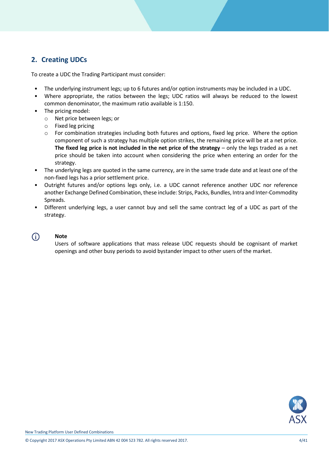### <span id="page-3-0"></span>**2. Creating UDCs**

To create a UDC the Trading Participant must consider:

- The underlying instrument legs; up to 6 futures and/or option instruments may be included in a UDC.
- Where appropriate, the ratios between the legs; UDC ratios will always be reduced to the lowest common denominator, the maximum ratio available is 1:150.
- The pricing model:
	- o Net price between legs; or
	- o Fixed leg pricing
	- o For combination strategies including both futures and options, fixed leg price. Where the option component of such a strategy has multiple option strikes, the remaining price will be at a net price. **The fixed leg price is not included in the net price of the strategy** – only the legs traded as a net price should be taken into account when considering the price when entering an order for the strategy.
- The underlying legs are quoted in the same currency, are in the same trade date and at least one of the non-fixed legs has a prior settlement price.
- Outright futures and/or options legs only, i.e. a UDC cannot reference another UDC nor reference another Exchange Defined Combination, these include: Strips, Packs, Bundles, Intra and Inter-Commodity Spreads.
- Different underlying legs, a user cannot buy and sell the same contract leg of a UDC as part of the strategy.
- $\bigcirc$

#### **Note**

Users of software applications that mass release UDC requests should be cognisant of market openings and other busy periods to avoid bystander impact to other users of the market.

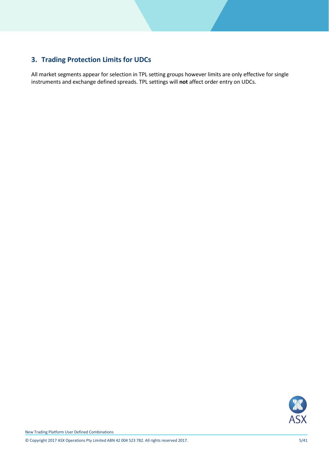## <span id="page-4-0"></span>**3. Trading Protection Limits for UDCs**

All market segments appear for selection in TPL setting groups however limits are only effective for single instruments and exchange defined spreads. TPL settings will **not** affect order entry on UDCs.

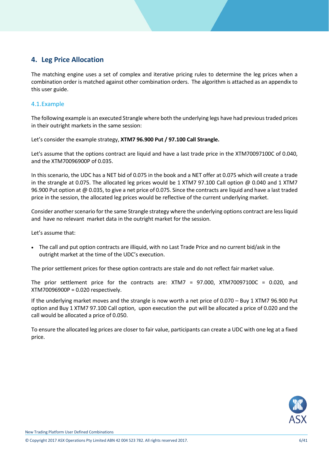### <span id="page-5-0"></span>**4. Leg Price Allocation**

The matching engine uses a set of complex and iterative pricing rules to determine the leg prices when a combination order is matched against other combination orders. The algorithm is attached as an appendix to this user guide.

#### <span id="page-5-1"></span>4.1.Example

The following example is an executed Strangle where both the underlying legs have had previous traded prices in their outright markets in the same session:

Let's consider the example strategy, **XTM7 96.900 Put / 97.100 Call Strangle.** 

Let's assume that the options contract are liquid and have a last trade price in the XTM70097100C of 0.040, and the XTM70096900P of 0.035.

In this scenario, the UDC has a NET bid of 0.075 in the book and a NET offer at 0.075 which will create a trade in the strangle at 0.075. The allocated leg prices would be 1 XTM7 97.100 Call option @ 0.040 and 1 XTM7 96.900 Put option at @ 0.035, to give a net price of 0.075. Since the contracts are liquid and have a last traded price in the session, the allocated leg prices would be reflective of the current underlying market.

Consider another scenario for the same Strangle strategy where the underlying options contract are less liquid and have no relevant market data in the outright market for the session.

Let's assume that:

 The call and put option contracts are illiquid, with no Last Trade Price and no current bid/ask in the outright market at the time of the UDC's execution.

The prior settlement prices for these option contracts are stale and do not reflect fair market value.

The prior settlement price for the contracts are: XTM7 = 97.000, XTM70097100C = 0.020, and XTM70096900P = 0.020 respectively.

If the underlying market moves and the strangle is now worth a net price of 0.070 – Buy 1 XTM7 96.900 Put option and Buy 1 XTM7 97.100 Call option, upon execution the put will be allocated a price of 0.020 and the call would be allocated a price of 0.050.

To ensure the allocated leg prices are closer to fair value, participants can create a UDC with one leg at a fixed price.

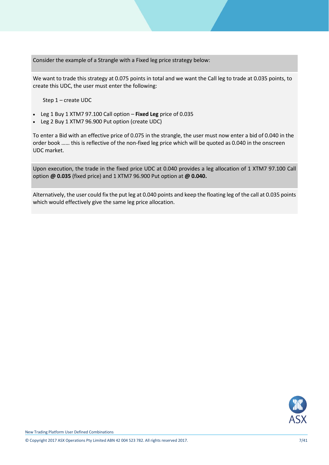Consider the example of a Strangle with a Fixed leg price strategy below:

We want to trade this strategy at 0.075 points in total and we want the Call leg to trade at 0.035 points, to create this UDC, the user must enter the following:

Step 1 – create UDC

- Leg 1 Buy 1 XTM7 97.100 Call option **Fixed Leg** price of 0.035
- Leg 2 Buy 1 XTM7 96.900 Put option (create UDC)

To enter a Bid with an effective price of 0.075 in the strangle, the user must now enter a bid of 0.040 in the order book …… this is reflective of the non-fixed leg price which will be quoted as 0.040 in the onscreen UDC market.

Upon execution, the trade in the fixed price UDC at 0.040 provides a leg allocation of 1 XTM7 97.100 Call option **@ 0.035** (fixed price) and 1 XTM7 96.900 Put option at **@ 0.040.**

Alternatively, the user could fix the put leg at 0.040 points and keep the floating leg of the call at 0.035 points which would effectively give the same leg price allocation.

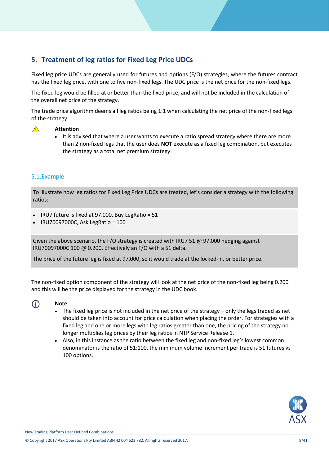### <span id="page-7-0"></span>**5. Treatment of leg ratios for Fixed Leg Price UDCs**

Fixed leg price UDCs are generally used for futures and options (F/O) strategies, where the futures contract has the fixed leg price, with one to five non-fixed legs. The UDC price is the net price for the non-fixed legs.

The fixed leg would be filled at or better than the fixed price, and will not be included in the calculation of the overall net price of the strategy.

The trade price algorithm deems all leg ratios being 1:1 when calculating the net price of the non-fixed legs of the strategy.

#### **Attention**  $\bigwedge$

• It is advised that where a user wants to execute a ratio spread strategy where there are more than 2 non-fixed legs that the user does **NOT** execute as a fixed leg combination, but executes the strategy as a total net premium strategy.

#### <span id="page-7-1"></span>5.1.Example

To illustrate how leg ratios for Fixed Leg Price UDCs are treated, let's consider a strategy with the following ratios:

- $\bullet$  IRU7 future is fixed at 97.000, Buy LegRatio = 51
- IRU70097000C, Ask LegRatio = 100

Given the above scenario, the F/O strategy is created with IRU7 51  $\omega$  97.000 hedging against IRU70097000C 100 @ 0.200. Effectively an F/O with a 51 delta.

The price of the future leg is fixed at 97.000, so it would trade at the locked-in, or better price.

The non-fixed option component of the strategy will look at the net price of the non-fixed leg being 0.200 and this will be the price displayed for the strategy in the UDC book.

#### $\bigcirc$

#### **Note**

- $\bullet$  The fixed leg price is not included in the net price of the strategy only the legs traded as net should be taken into account for price calculation when placing the order. For strategies with a fixed leg and one or more legs with leg ratios greater than one, the pricing of the strategy no longer multiplies leg prices by their leg ratios in NTP Service Release 1.
- Also, in this instance as the ratio between the fixed leg and non-fixed leg's lowest common denominator is the ratio of 51:100, the minimum volume increment per trade is 51 futures vs 100 options.



New Trading Platform User Defined Combinations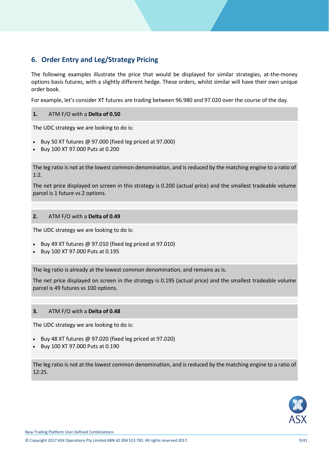### <span id="page-8-0"></span>**6. Order Entry and Leg/Strategy Pricing**

The following examples illustrate the price that would be displayed for similar strategies, at-the-money options basis futures, with a slightly different hedge. These orders, whilst similar will have their own unique order book.

For example, let's consider XT futures are trading between 96.980 and 97.020 over the course of the day.

#### **1.** ATM F/O with a **Delta of 0.50**

The UDC strategy we are looking to do is:

- Buy 50 XT futures  $@$  97.000 (fixed leg priced at 97.000)
- Buy 100 XT 97.000 Puts at 0.200

The leg ratio is not at the lowest common denomination, and is reduced by the matching engine to a ratio of 1:2.

The net price displayed on screen in this strategy is 0.200 (actual price) and the smallest tradeable volume parcel is 1 future vs 2 options.

#### **2.** ATM F/O with a **Delta of 0.49**

The UDC strategy we are looking to do is:

- Buy 49 XT futures  $@$  97.010 (fixed leg priced at 97.010)
- Buy 100 XT 97.000 Puts at 0.195

The leg ratio is already at the lowest common denomination, and remains as is.

The net price displayed on screen in the strategy is 0.195 (actual price) and the smallest tradeable volume parcel is 49 futures vs 100 options.

#### **3.** ATM F/O with a **Delta of 0.48**

The UDC strategy we are looking to do is:

- Buy 48 XT futures @ 97.020 (fixed leg priced at 97.020)
- Buy 100 XT 97.000 Puts at 0.190

The leg ratio is not at the lowest common denomination, and is reduced by the matching engine to a ratio of 12:25.

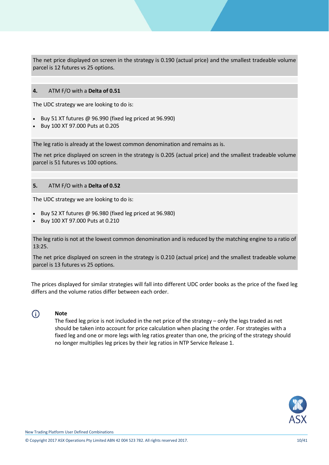The net price displayed on screen in the strategy is 0.190 (actual price) and the smallest tradeable volume parcel is 12 futures vs 25 options.

#### **4.** ATM F/O with a **Delta of 0.51**

The UDC strategy we are looking to do is:

- Buy 51 XT futures @ 96.990 (fixed leg priced at 96.990)
- Buy 100 XT 97.000 Puts at 0.205

The leg ratio is already at the lowest common denomination and remains as is.

The net price displayed on screen in the strategy is 0.205 (actual price) and the smallest tradeable volume parcel is 51 futures vs 100 options.

#### **5.** ATM F/O with a **Delta of 0.52**

The UDC strategy we are looking to do is:

- Buy 52 XT futures @ 96.980 (fixed leg priced at 96.980)
- Buy 100 XT 97.000 Puts at 0.210

The leg ratio is not at the lowest common denomination and is reduced by the matching engine to a ratio of 13:25.

The net price displayed on screen in the strategy is 0.210 (actual price) and the smallest tradeable volume parcel is 13 futures vs 25 options.

The prices displayed for similar strategies will fall into different UDC order books as the price of the fixed leg differs and the volume ratios differ between each order.

### $\bigcirc$

**Note**

The fixed leg price is not included in the net price of the strategy – only the legs traded as net should be taken into account for price calculation when placing the order. For strategies with a fixed leg and one or more legs with leg ratios greater than one, the pricing of the strategy should no longer multiplies leg prices by their leg ratios in NTP Service Release 1.

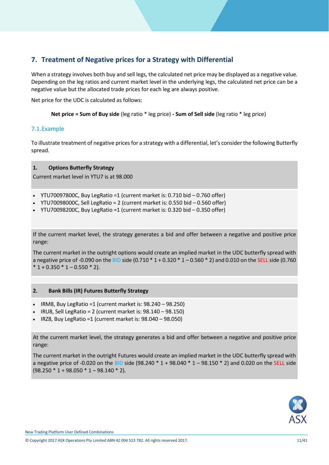### <span id="page-10-0"></span>**7. Treatment of Negative prices for a Strategy with Differential**

When a strategy involves both buy and sell legs, the calculated net price may be displayed as a negative value. Depending on the leg ratios and current market level in the underlying legs, the calculated net price can be a negative value but the allocated trade prices for each leg are always positive.

Net price for the UDC is calculated as follows:

**Net price = Sum of Buy side** (leg ratio \* leg price) **- Sum of Sell side** (leg ratio \* leg price)

#### <span id="page-10-1"></span>7.1.Example

To illustrate treatment of negative prices for a strategy with a differential, let's consider the following Butterfly spread.

#### **1. Options Butterfly Strategy**

Current market level in YTU7 is at 98.000

- $\bullet$  YTU70097800C, Buy LegRatio =1 (current market is: 0.710 bid  $-0.760$  offer)
- $\bullet$  YTU70098000C, Sell LegRatio = 2 (current market is: 0.550 bid  $-$  0.560 offer)
- $\cdot$  YTU70098200C, Buy LegRatio =1 (current market is: 0.320 bid  $-$  0.350 offer)

If the current market level, the strategy generates a bid and offer between a negative and positive price range:

The current market in the outright options would create an implied market in the UDC butterfly spread with a negative price of -0.090 on the BID side (0.710 \* 1 + 0.320 \* 1 – 0.560 \* 2) and 0.010 on the SELL side (0.760  $*$  1 + 0.350  $*$  1 – 0.550  $*$  2).

#### **2. Bank Bills (IR) Futures Butterfly Strategy**

- $\bullet$  IRM8, Buy LegRatio =1 (current market is: 98.240 98.250)
- $\bullet$  IRU8, Sell LegRatio = 2 (current market is: 98.140 98.150)
- $\bullet$  IRZ8, Buy LegRatio =1 (current market is:  $98.040 98.050$ )

At the current market level, the strategy generates a bid and offer between a negative and positive price range:

The current market in the outright Futures would create an implied market in the UDC butterfly spread with a negative price of -0.020 on the BID side (98.240  $*$  1 + 98.040  $*$  1 – 98.150  $*$  2) and 0.020 on the SELL side  $(98.250 * 1 + 98.050 * 1 - 98.140 * 2).$ 

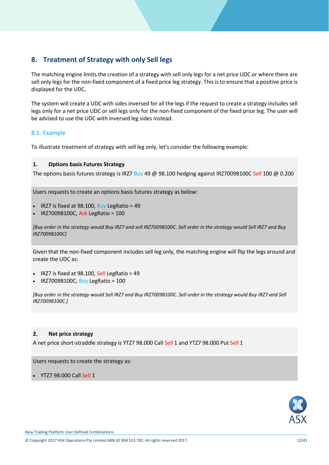### <span id="page-11-0"></span>**8. Treatment of Strategy with only Sell legs**

The matching engine limits the creation of a strategy with sell only legs for a net price UDC or where there are sell only legs for the non-fixed component of a fixed price leg strategy. This is to ensure that a positive price is displayed for the UDC.

The system will create a UDC with sides inversed for all the legs if the request to create a strategy includes sell legs only for a net price UDC or sell legs only for the non-fixed component of the fixed price leg. The user will be advised to use the UDC with inversed leg sides instead.

#### <span id="page-11-1"></span>8.1. Example

To illustrate treatment of strategy with sell leg only, let's consider the following example:

#### **1. Options basis Futures Strategy**

The options basis futures strategy is IRZ7 Buy 49 @ 98.100 hedging against IRZ70098100C Sell 100 @ 0.200

Users requests to create an options basis futures strategy as below:

- IRZ7 is fixed at 98.100, Buy LegRatio = 49
- IRZ70098100C, Ask LegRatio = 100

*[Buy order in the strategy would Buy IRZ7 and sell IRZ70098100C. Sell order in the strategy would Sell IRZ7 and Buy IRZ70098100C]*

Given that the non-fixed component includes sell leg only, the matching engine will flip the legs around and create the UDC as:

- $\cdot$  IRZ7 is fixed at 98.100, Sell LegRatio = 49
- IRZ70098100C, Buy LegRatio = 100

*[Buy order in the strategy would Sell IRZ7 and Buy IRZ70098100C. Sell order in the strategy would Buy IRZ7 and Sell IRZ70098100C.]*

#### **2. Net price strategy**

A net price short-straddle strategy is YTZ7 98.000 Call Sell 1 and YTZ7 98.000 Put Sell 1

Users requests to create the strategy as:

YTZ7 98.000 Call Sell 1

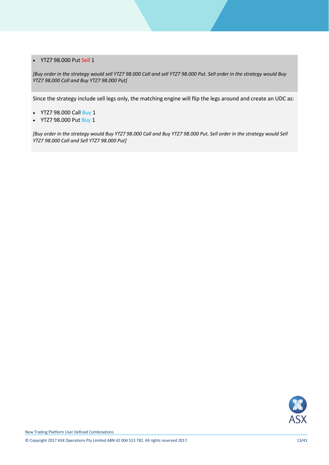#### YTZ7 98.000 Put Sell 1

*[Buy order in the strategy would sell YTZ7 98.000 Call and sell YTZ7 98.000 Put. Sell order in the strategy would Buy YTZ7 98.000 Call and Buy YTZ7 98.000 Put]*

Since the strategy include sell legs only, the matching engine will flip the legs around and create an UDC as:

- YTZ7 98.000 Call Buy 1
- YTZ7 98.000 Put Buy 1

*[Buy order in the strategy would Buy YTZ7 98.000 Call and Buy YTZ7 98.000 Put. Sell order in the strategy would Sell YTZ7 98.000 Call and Sell YTZ7 98.000 Put]*

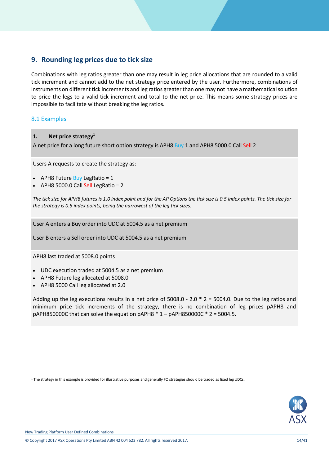### <span id="page-13-0"></span>**9. Rounding leg prices due to tick size**

Combinations with leg ratios greater than one may result in leg price allocations that are rounded to a valid tick increment and cannot add to the net strategy price entered by the user. Furthermore, combinations of instruments on different tick increments and leg ratios greater than one may not have a mathematical solution to price the legs to a valid tick increment and total to the net price. This means some strategy prices are impossible to facilitate without breaking the leg ratios.

#### 8.1 Examples

#### **1. Net price strategy 1**

A net price for a long future short option strategy is APH8 Buy 1 and APH8 5000.0 Call Sell 2

Users A requests to create the strategy as:

- APH8 Future Buy LegRatio =  $1$
- $\bullet$  APH8 5000.0 Call Sell LegRatio = 2

*The tick size for APH8 futures is 1.0 index point and for the AP Options the tick size is 0.5 index points. The tick size for the strategy is 0.5 index points, being the narrowest of the leg tick sizes.* 

User A enters a Buy order into UDC at 5004.5 as a net premium

User B enters a Sell order into UDC at 5004.5 as a net premium

APH8 last traded at 5008.0 points

- UDC execution traded at 5004.5 as a net premium
- APH8 Future leg allocated at 5008.0
- APH8 5000 Call leg allocated at 2.0

Adding up the leg executions results in a net price of  $5008.0 - 2.0 * 2 = 5004.0$ . Due to the leg ratios and minimum price tick increments of the strategy, there is no combination of leg prices pAPH8 and pAPH850000C that can solve the equation pAPH8  $*$  1 – pAPH850000C  $*$  2 = 5004.5.



New Trading Platform User Defined Combinations

.

<sup>1</sup> The strategy in this example is provided for illustrative purposes and generally FO strategies should be traded as fixed leg UDCs.

<sup>©</sup> Copyright 2017 ASX Operations Pty Limited ABN 42 004 523 782. All rights reserved 2017. 14/41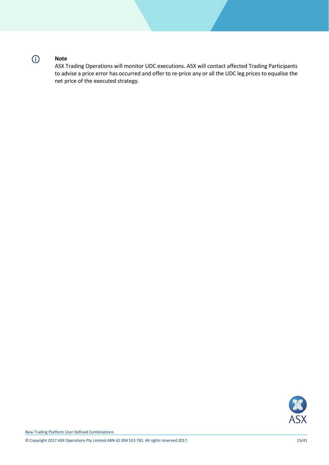# $\odot$

#### **Note**

ASX Trading Operations will monitor UDC executions. ASX will contact affected Trading Participants to advise a price error has occurred and offer to re-price any or all the UDC leg prices to equalise the net price of the executed strategy.

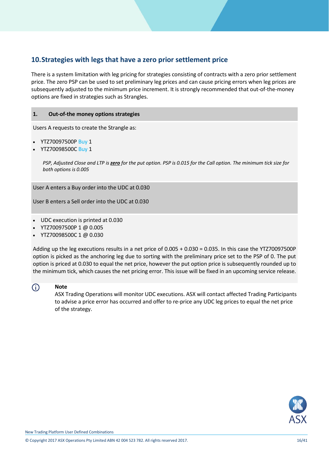### <span id="page-15-0"></span>**10.Strategies with legs that have a zero prior settlement price**

There is a system limitation with leg pricing for strategies consisting of contracts with a zero prior settlement price. The zero PSP can be used to set preliminary leg prices and can cause pricing errors when leg prices are subsequently adjusted to the minimum price increment. It is strongly recommended that out-of-the-money options are fixed in strategies such as Strangles.

#### **1. Out-of-the money options strategies**

Users A requests to create the Strangle as:

- YTZ70097500P Buy 1
- YTZ70098500C Buy 1

*PSP, Adjusted Close and LTP is zero for the put option. PSP is 0.015 for the Call option. The minimum tick size for both options is 0.005* 

User A enters a Buy order into the UDC at 0.030

User B enters a Sell order into the UDC at 0.030

- UDC execution is printed at 0.030
- YTZ70097500P 1 @ 0.005
- YTZ70098500C 1 @ 0.030

Adding up the leg executions results in a net price of 0.005 + 0.030 = 0.035. In this case the YTZ70097500P option is picked as the anchoring leg due to sorting with the preliminary price set to the PSP of 0. The put option is priced at 0.030 to equal the net price, however the put option price is subsequently rounded up to the minimum tick, which causes the net pricing error. This issue will be fixed in an upcoming service release.

#### G)

**Note**

ASX Trading Operations will monitor UDC executions. ASX will contact affected Trading Participants to advise a price error has occurred and offer to re-price any UDC leg prices to equal the net price of the strategy.

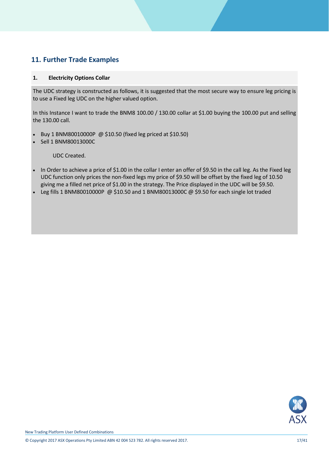### <span id="page-16-0"></span>**11. Further Trade Examples**

#### **1. Electricity Options Collar**

The UDC strategy is constructed as follows, it is suggested that the most secure way to ensure leg pricing is to use a Fixed leg UDC on the higher valued option.

In this Instance I want to trade the BNM8 100.00 / 130.00 collar at \$1.00 buying the 100.00 put and selling the 130.00 call.

- Buy 1 BNM80010000P @ \$10.50 (fixed leg priced at \$10.50)
- Sell 1 BNM80013000C

- In Order to achieve a price of \$1.00 in the collar I enter an offer of \$9.50 in the call leg. As the Fixed leg UDC function only prices the non-fixed legs my price of \$9.50 will be offset by the fixed leg of 10.50 giving me a filled net price of \$1.00 in the strategy. The Price displayed in the UDC will be \$9.50.
- Leg fills 1 BNM80010000P @ \$10.50 and 1 BNM80013000C @ \$9.50 for each single lot traded

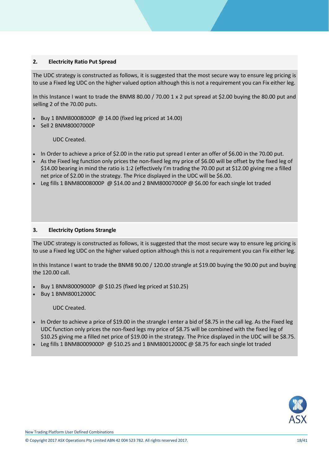#### **2. Electricity Ratio Put Spread**

The UDC strategy is constructed as follows, it is suggested that the most secure way to ensure leg pricing is to use a Fixed leg UDC on the higher valued option although this is not a requirement you can Fix either leg.

In this Instance I want to trade the BNM8 80.00 / 70.00 1 x 2 put spread at \$2.00 buying the 80.00 put and selling 2 of the 70.00 puts.

- Buy 1 BNM80008000P @ 14.00 (fixed leg priced at 14.00)
- Sell 2 BNM80007000P

UDC Created.

- In Order to achieve a price of \$2.00 in the ratio put spread I enter an offer of \$6.00 in the 70.00 put.
- As the Fixed leg function only prices the non-fixed leg my price of \$6.00 will be offset by the fixed leg of \$14.00 bearing in mind the ratio is 1:2 (effectively I'm trading the 70.00 put at \$12.00 giving me a filled net price of \$2.00 in the strategy. The Price displayed in the UDC will be \$6.00.
- Leg fills 1 BNM80008000P @ \$14.00 and 2 BNM80007000P @ \$6.00 for each single lot traded

#### **3. Electricity Options Strangle**

The UDC strategy is constructed as follows, it is suggested that the most secure way to ensure leg pricing is to use a Fixed leg UDC on the higher valued option although this is not a requirement you can Fix either leg.

In this Instance I want to trade the BNM8 90.00 / 120.00 strangle at \$19.00 buying the 90.00 put and buying the 120.00 call.

- Buy 1 BNM80009000P @ \$10.25 (fixed leg priced at \$10.25)
- Buy 1 BNM80012000C

- In Order to achieve a price of \$19.00 in the strangle I enter a bid of \$8.75 in the call leg. As the Fixed leg UDC function only prices the non-fixed legs my price of \$8.75 will be combined with the fixed leg of \$10.25 giving me a filled net price of \$19.00 in the strategy. The Price displayed in the UDC will be \$8.75.
- Leg fills 1 BNM80009000P @ \$10.25 and 1 BNM80012000C @ \$8.75 for each single lot traded

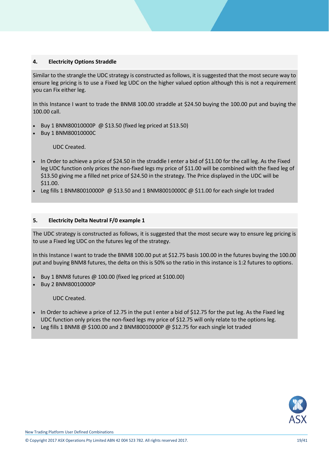#### **4. Electricity Options Straddle**

Similar to the strangle the UDC strategy is constructed as follows, it is suggested that the most secure way to ensure leg pricing is to use a Fixed leg UDC on the higher valued option although this is not a requirement you can Fix either leg.

In this Instance I want to trade the BNM8 100.00 straddle at \$24.50 buying the 100.00 put and buying the 100.00 call.

- Buy 1 BNM80010000P @ \$13.50 (fixed leg priced at \$13.50)
- Buy 1 BNM80010000C

#### UDC Created.

- In Order to achieve a price of \$24.50 in the straddle I enter a bid of \$11.00 for the call leg. As the Fixed leg UDC function only prices the non-fixed legs my price of \$11.00 will be combined with the fixed leg of \$13.50 giving me a filled net price of \$24.50 in the strategy. The Price displayed in the UDC will be \$11.00.
- Leg fills 1 BNM80010000P @ \$13.50 and 1 BNM80010000C @ \$11.00 for each single lot traded

#### **5. Electricity Delta Neutral F/0 example 1**

The UDC strategy is constructed as follows, it is suggested that the most secure way to ensure leg pricing is to use a Fixed leg UDC on the futures leg of the strategy.

In this Instance I want to trade the BNM8 100.00 put at \$12.75 basis 100.00 in the futures buying the 100.00 put and buying BNM8 futures, the delta on this is 50% so the ratio in this instance is 1:2 futures to options.

- Buy 1 BNM8 futures @ 100.00 (fixed leg priced at \$100.00)
- Buy 2 BNM80010000P

- In Order to achieve a price of 12.75 in the put I enter a bid of \$12.75 for the put leg. As the Fixed leg UDC function only prices the non-fixed legs my price of \$12.75 will only relate to the options leg.
- Leg fills 1 BNM8 @ \$100.00 and 2 BNM80010000P @ \$12.75 for each single lot traded

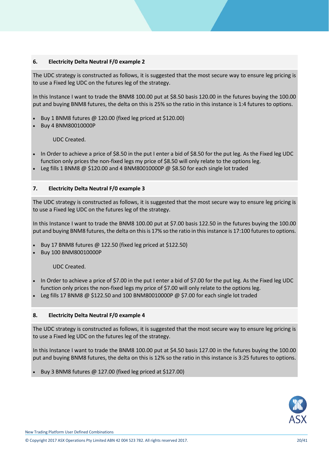#### **6. Electricity Delta Neutral F/0 example 2**

The UDC strategy is constructed as follows, it is suggested that the most secure way to ensure leg pricing is to use a Fixed leg UDC on the futures leg of the strategy.

In this Instance I want to trade the BNM8 100.00 put at \$8.50 basis 120.00 in the futures buying the 100.00 put and buying BNM8 futures, the delta on this is 25% so the ratio in this instance is 1:4 futures to options.

- Buy 1 BNM8 futures @ 120.00 (fixed leg priced at \$120.00)
- Buy 4 BNM80010000P

UDC Created.

- In Order to achieve a price of \$8.50 in the put I enter a bid of \$8.50 for the put leg. As the Fixed leg UDC function only prices the non-fixed legs my price of \$8.50 will only relate to the options leg.
- Leg fills 1 BNM8  $@$  \$120.00 and 4 BNM80010000P  $@$  \$8.50 for each single lot traded

#### **7. Electricity Delta Neutral F/0 example 3**

The UDC strategy is constructed as follows, it is suggested that the most secure way to ensure leg pricing is to use a Fixed leg UDC on the futures leg of the strategy.

In this Instance I want to trade the BNM8 100.00 put at \$7.00 basis 122.50 in the futures buying the 100.00 put and buying BNM8 futures, the delta on this is 17% so the ratio in this instance is 17:100 futures to options.

- Buy 17 BNM8 futures @ 122.50 (fixed leg priced at \$122.50)
- Buy 100 BNM80010000P

UDC Created.

- In Order to achieve a price of \$7.00 in the put I enter a bid of \$7.00 for the put leg. As the Fixed leg UDC function only prices the non-fixed legs my price of \$7.00 will only relate to the options leg.
- Leg fills 17 BNM8 @ \$122.50 and 100 BNM80010000P @ \$7.00 for each single lot traded

#### **8. Electricity Delta Neutral F/0 example 4**

The UDC strategy is constructed as follows, it is suggested that the most secure way to ensure leg pricing is to use a Fixed leg UDC on the futures leg of the strategy.

In this Instance I want to trade the BNM8 100.00 put at \$4.50 basis 127.00 in the futures buying the 100.00 put and buying BNM8 futures, the delta on this is 12% so the ratio in this instance is 3:25 futures to options.

Buy 3 BNM8 futures @ 127.00 (fixed leg priced at \$127.00)



New Trading Platform User Defined Combinations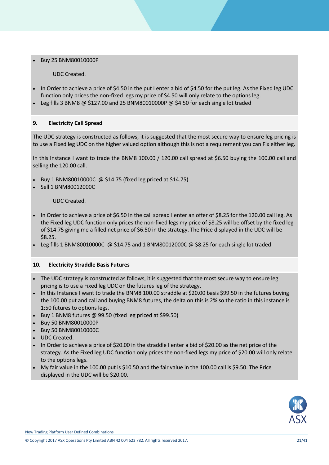Buy 25 BNM80010000P

UDC Created.

- In Order to achieve a price of \$4.50 in the put I enter a bid of \$4.50 for the put leg. As the Fixed leg UDC function only prices the non-fixed legs my price of \$4.50 will only relate to the options leg.
- Leg fills 3 BNM8 @ \$127.00 and 25 BNM80010000P @ \$4.50 for each single lot traded

#### **9. Electricity Call Spread**

The UDC strategy is constructed as follows, it is suggested that the most secure way to ensure leg pricing is to use a Fixed leg UDC on the higher valued option although this is not a requirement you can Fix either leg.

In this Instance I want to trade the BNM8 100.00 / 120.00 call spread at \$6.50 buying the 100.00 call and selling the 120.00 call.

- Buy 1 BNM80010000C @ \$14.75 (fixed leg priced at \$14.75)
- Sell 1 BNM80012000C

UDC Created.

- In Order to achieve a price of \$6.50 in the call spread I enter an offer of \$8.25 for the 120.00 call leg. As the Fixed leg UDC function only prices the non-fixed legs my price of \$8.25 will be offset by the fixed leg of \$14.75 giving me a filled net price of \$6.50 in the strategy. The Price displayed in the UDC will be \$8.25.
- Leg fills 1 BNM80010000C @ \$14.75 and 1 BNM80012000C @ \$8.25 for each single lot traded

#### **10. Electricity Straddle Basis Futures**

- The UDC strategy is constructed as follows, it is suggested that the most secure way to ensure leg pricing is to use a Fixed leg UDC on the futures leg of the strategy.
- In this Instance I want to trade the BNM8 100.00 straddle at \$20.00 basis \$99.50 in the futures buying the 100.00 put and call and buying BNM8 futures, the delta on this is 2% so the ratio in this instance is 1:50 futures to options legs.
- Buy 1 BNM8 futures  $\omega$  99.50 (fixed leg priced at \$99.50)
- Buy 50 BNM80010000P
- Buy 50 BNM80010000C
- UDC Created.
- In Order to achieve a price of \$20.00 in the straddle I enter a bid of \$20.00 as the net price of the strategy. As the Fixed leg UDC function only prices the non-fixed legs my price of \$20.00 will only relate to the options legs.
- $\bullet$  My fair value in the 100.00 put is \$10.50 and the fair value in the 100.00 call is \$9.50. The Price displayed in the UDC will be \$20.00.



New Trading Platform User Defined Combinations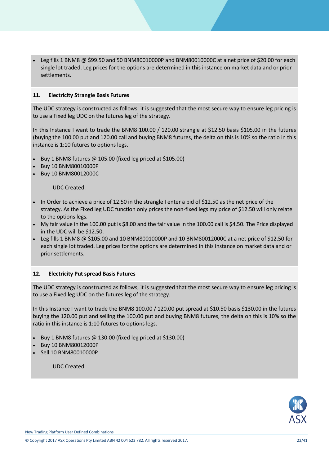Leg fills 1 BNM8 @ \$99.50 and 50 BNM80010000P and BNM80010000C at a net price of \$20.00 for each single lot traded. Leg prices for the options are determined in this instance on market data and or prior settlements.

#### **11. Electricity Strangle Basis Futures**

The UDC strategy is constructed as follows, it is suggested that the most secure way to ensure leg pricing is to use a Fixed leg UDC on the futures leg of the strategy.

In this Instance I want to trade the BNM8 100.00 / 120.00 strangle at \$12.50 basis \$105.00 in the futures (buying the 100.00 put and 120.00 call and buying BNM8 futures, the delta on this is 10% so the ratio in this instance is 1:10 futures to options legs.

- Buy 1 BNM8 futures @ 105.00 (fixed leg priced at \$105.00)
- Buy 10 BNM80010000P
- Buy 10 BNM80012000C

UDC Created.

- In Order to achieve a price of 12.50 in the strangle I enter a bid of \$12.50 as the net price of the strategy. As the Fixed leg UDC function only prices the non-fixed legs my price of \$12.50 will only relate to the options legs.
- My fair value in the 100.00 put is \$8.00 and the fair value in the 100.00 call is \$4.50. The Price displayed in the UDC will be \$12.50.
- $\bullet$  Leg fills 1 BNM8  $\omega$  \$105.00 and 10 BNM80010000P and 10 BNM80012000C at a net price of \$12.50 for each single lot traded. Leg prices for the options are determined in this instance on market data and or prior settlements.

#### **12. Electricity Put spread Basis Futures**

The UDC strategy is constructed as follows, it is suggested that the most secure way to ensure leg pricing is to use a Fixed leg UDC on the futures leg of the strategy.

In this Instance I want to trade the BNM8 100.00 / 120.00 put spread at \$10.50 basis \$130.00 in the futures buying the 120.00 put and selling the 100.00 put and buying BNM8 futures, the delta on this is 10% so the ratio in this instance is 1:10 futures to options legs.

- Buy 1 BNM8 futures @ 130.00 (fixed leg priced at \$130.00)
- Buy 10 BNM80012000P
- Sell 10 BNM80010000P

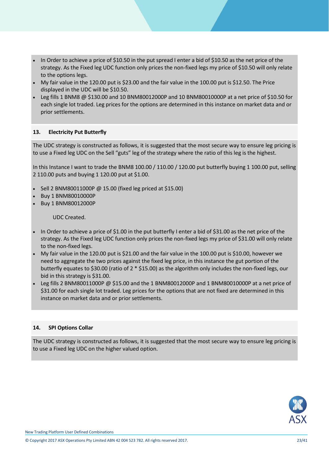- In Order to achieve a price of \$10.50 in the put spread I enter a bid of \$10.50 as the net price of the strategy. As the Fixed leg UDC function only prices the non-fixed legs my price of \$10.50 will only relate to the options legs.
- My fair value in the 120.00 put is \$23.00 and the fair value in the 100.00 put is \$12.50. The Price displayed in the UDC will be \$10.50.
- Leg fills 1 BNM8 @ \$130.00 and 10 BNM80012000P and 10 BNM80010000P at a net price of \$10.50 for each single lot traded. Leg prices for the options are determined in this instance on market data and or prior settlements.

#### **13. Electricity Put Butterfly**

The UDC strategy is constructed as follows, it is suggested that the most secure way to ensure leg pricing is to use a Fixed leg UDC on the Sell "guts" leg of the strategy where the ratio of this leg is the highest.

In this Instance I want to trade the BNM8 100.00 / 110.00 / 120.00 put butterfly buying 1 100.00 put, selling 2 110.00 puts and buying 1 120.00 put at \$1.00.

- Sell 2 BNM80011000P @ 15.00 (fixed leg priced at \$15.00)
- Buy 1 BNM80010000P
- Buy 1 BNM80012000P

UDC Created.

- In Order to achieve a price of \$1.00 in the put butterfly I enter a bid of \$31.00 as the net price of the strategy. As the Fixed leg UDC function only prices the non-fixed legs my price of \$31.00 will only relate to the non-fixed legs.
- My fair value in the 120.00 put is \$21.00 and the fair value in the 100.00 put is \$10.00, however we need to aggregate the two prices against the fixed leg price, in this instance the gut portion of the butterfly equates to \$30.00 (ratio of 2 \* \$15.00) as the algorithm only includes the non-fixed legs, our bid in this strategy is \$31.00.
- Leg fills 2 BNM80011000P @ \$15.00 and the 1 BNM80012000P and 1 BNM80010000P at a net price of \$31.00 for each single lot traded. Leg prices for the options that are not fixed are determined in this instance on market data and or prior settlements.

#### **14. SPI Options Collar**

The UDC strategy is constructed as follows, it is suggested that the most secure way to ensure leg pricing is to use a Fixed leg UDC on the higher valued option.

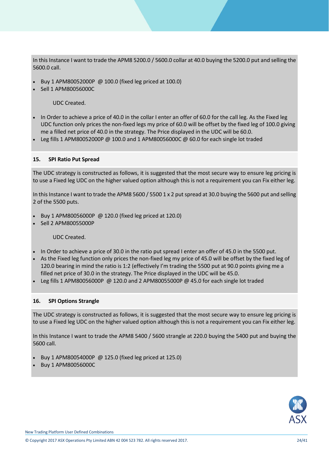In this Instance I want to trade the APM8 5200.0 / 5600.0 collar at 40.0 buying the 5200.0 put and selling the 5600.0 call.

- Buy 1 APM80052000P @ 100.0 (fixed leg priced at 100.0)
- Sell 1 APM80056000C

UDC Created.

- In Order to achieve a price of 40.0 in the collar I enter an offer of 60.0 for the call leg. As the Fixed leg UDC function only prices the non-fixed legs my price of 60.0 will be offset by the fixed leg of 100.0 giving me a filled net price of 40.0 in the strategy. The Price displayed in the UDC will be 60.0.
- Leg fills 1 APM80052000P @ 100.0 and 1 APM80056000C @ 60.0 for each single lot traded

#### **15. SPI Ratio Put Spread**

The UDC strategy is constructed as follows, it is suggested that the most secure way to ensure leg pricing is to use a Fixed leg UDC on the higher valued option although this is not a requirement you can Fix either leg.

In this Instance I want to trade the APM8 5600 / 5500 1 x 2 put spread at 30.0 buying the 5600 put and selling 2 of the 5500 puts.

- Buy 1 APM80056000P @ 120.0 (fixed leg priced at 120.0)
- Sell 2 APM80055000P

UDC Created.

- In Order to achieve a price of 30.0 in the ratio put spread I enter an offer of 45.0 in the 5500 put.
- As the Fixed leg function only prices the non-fixed leg my price of 45.0 will be offset by the fixed leg of 120.0 bearing in mind the ratio is 1:2 (effectively I'm trading the 5500 put at 90.0 points giving me a filled net price of 30.0 in the strategy. The Price displayed in the UDC will be 45.0.
- Leg fills 1 APM80056000P @ 120.0 and 2 APM80055000P @ 45.0 for each single lot traded

#### **16. SPI Options Strangle**

The UDC strategy is constructed as follows, it is suggested that the most secure way to ensure leg pricing is to use a Fixed leg UDC on the higher valued option although this is not a requirement you can Fix either leg.

In this Instance I want to trade the APM8 5400 / 5600 strangle at 220.0 buying the 5400 put and buying the 5600 call.

- Buy 1 APM80054000P @ 125.0 (fixed leg priced at 125.0)
- Buy 1 APM80056000C

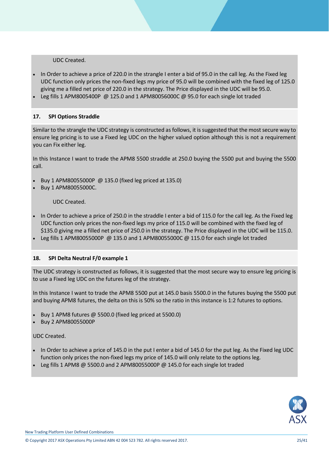UDC Created.

- In Order to achieve a price of 220.0 in the strangle I enter a bid of 95.0 in the call leg. As the Fixed leg UDC function only prices the non-fixed legs my price of 95.0 will be combined with the fixed leg of 125.0 giving me a filled net price of 220.0 in the strategy. The Price displayed in the UDC will be 95.0.
- Leg fills 1 APM8005400P @ 125.0 and 1 APM80056000C @ 95.0 for each single lot traded

#### **17. SPI Options Straddle**

Similar to the strangle the UDC strategy is constructed as follows, it is suggested that the most secure way to ensure leg pricing is to use a Fixed leg UDC on the higher valued option although this is not a requirement you can Fix either leg.

In this Instance I want to trade the APM8 5500 straddle at 250.0 buying the 5500 put and buying the 5500 call.

- Buy 1 APM80055000P @ 135.0 (fixed leg priced at 135.0)
- Buy 1 APM80055000C.

UDC Created.

- In Order to achieve a price of 250.0 in the straddle I enter a bid of 115.0 for the call leg. As the Fixed leg UDC function only prices the non-fixed legs my price of 115.0 will be combined with the fixed leg of \$135.0 giving me a filled net price of 250.0 in the strategy. The Price displayed in the UDC will be 115.0.
- Leg fills 1 APM80055000P @ 135.0 and 1 APM80055000C @ 115.0 for each single lot traded

#### **18. SPI Delta Neutral F/0 example 1**

The UDC strategy is constructed as follows, it is suggested that the most secure way to ensure leg pricing is to use a Fixed leg UDC on the futures leg of the strategy.

In this Instance I want to trade the APM8 5500 put at 145.0 basis 5500.0 in the futures buying the 5500 put and buying APM8 futures, the delta on this is 50% so the ratio in this instance is 1:2 futures to options.

- Buy 1 APM8 futures @ 5500.0 (fixed leg priced at 5500.0)
- Buy 2 APM80055000P

UDC Created.

- In Order to achieve a price of 145.0 in the put I enter a bid of 145.0 for the put leg. As the Fixed leg UDC function only prices the non-fixed legs my price of 145.0 will only relate to the options leg.
- Leg fills 1 APM8 @ 5500.0 and 2 APM80055000P @ 145.0 for each single lot traded



New Trading Platform User Defined Combinations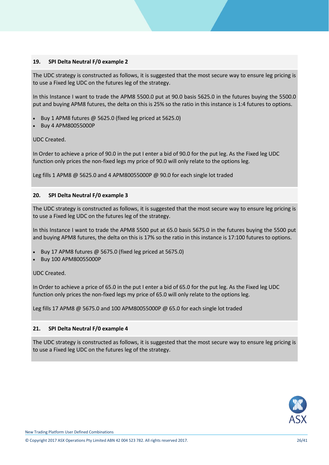#### **19. SPI Delta Neutral F/0 example 2**

The UDC strategy is constructed as follows, it is suggested that the most secure way to ensure leg pricing is to use a Fixed leg UDC on the futures leg of the strategy.

In this Instance I want to trade the APM8 5500.0 put at 90.0 basis 5625.0 in the futures buying the 5500.0 put and buying APM8 futures, the delta on this is 25% so the ratio in this instance is 1:4 futures to options.

- Buy 1 APM8 futures @ 5625.0 (fixed leg priced at 5625.0)
- Buy 4 APM80055000P

#### UDC Created.

In Order to achieve a price of 90.0 in the put I enter a bid of 90.0 for the put leg. As the Fixed leg UDC function only prices the non-fixed legs my price of 90.0 will only relate to the options leg.

Leg fills 1 APM8 @ 5625.0 and 4 APM80055000P @ 90.0 for each single lot traded

#### **20. SPI Delta Neutral F/0 example 3**

The UDC strategy is constructed as follows, it is suggested that the most secure way to ensure leg pricing is to use a Fixed leg UDC on the futures leg of the strategy.

In this Instance I want to trade the APM8 5500 put at 65.0 basis 5675.0 in the futures buying the 5500 put and buying APM8 futures, the delta on this is 17% so the ratio in this instance is 17:100 futures to options.

- Buy 17 APM8 futures @ 5675.0 (fixed leg priced at 5675.0)
- Buy 100 APM80055000P

UDC Created.

In Order to achieve a price of 65.0 in the put I enter a bid of 65.0 for the put leg. As the Fixed leg UDC function only prices the non-fixed legs my price of 65.0 will only relate to the options leg.

Leg fills 17 APM8 @ 5675.0 and 100 APM80055000P @ 65.0 for each single lot traded

#### **21. SPI Delta Neutral F/0 example 4**

The UDC strategy is constructed as follows, it is suggested that the most secure way to ensure leg pricing is to use a Fixed leg UDC on the futures leg of the strategy.

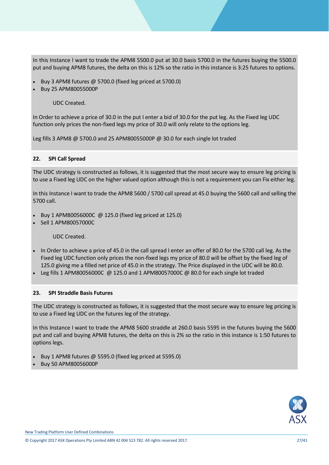In this Instance I want to trade the APM8 5500.0 put at 30.0 basis 5700.0 in the futures buying the 5500.0 put and buying APM8 futures, the delta on this is 12% so the ratio in this instance is 3:25 futures to options.

- Buy 3 APM8 futures @ 5700.0 (fixed leg priced at 5700.0)
- Buy 25 APM80055000P

UDC Created.

In Order to achieve a price of 30.0 in the put I enter a bid of 30.0 for the put leg. As the Fixed leg UDC function only prices the non-fixed legs my price of 30.0 will only relate to the options leg.

Leg fills 3 APM8 @ 5700.0 and 25 APM80055000P @ 30.0 for each single lot traded

#### **22. SPI Call Spread**

The UDC strategy is constructed as follows, it is suggested that the most secure way to ensure leg pricing is to use a Fixed leg UDC on the higher valued option although this is not a requirement you can Fix either leg.

In this Instance I want to trade the APM8 5600 / 5700 call spread at 45.0 buying the 5600 call and selling the 5700 call.

- Buy 1 APM80056000C @ 125.0 (fixed leg priced at 125.0)
- Sell 1 APM80057000C

UDC Created.

- In Order to achieve a price of 45.0 in the call spread I enter an offer of 80.0 for the 5700 call leg. As the Fixed leg UDC function only prices the non-fixed legs my price of 80.0 will be offset by the fixed leg of 125.0 giving me a filled net price of 45.0 in the strategy. The Price displayed in the UDC will be 80.0.
- Leg fills 1 APM80056000C @ 125.0 and 1 APM80057000C @ 80.0 for each single lot traded

#### **23. SPI Straddle Basis Futures**

The UDC strategy is constructed as follows, it is suggested that the most secure way to ensure leg pricing is to use a Fixed leg UDC on the futures leg of the strategy.

In this Instance I want to trade the APM8 5600 straddle at 260.0 basis 5595 in the futures buying the 5600 put and call and buying APM8 futures, the delta on this is 2% so the ratio in this instance is 1:50 futures to options legs.

- Buy 1 APM8 futures @ 5595.0 (fixed leg priced at 5595.0)
- Buy 50 APM80056000P

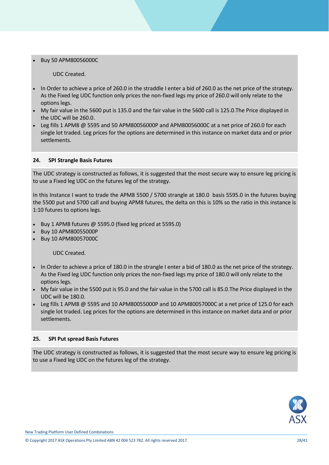#### Buy 50 APM80056000C

UDC Created.

- In Order to achieve a price of 260.0 in the straddle I enter a bid of 260.0 as the net price of the strategy. As the Fixed leg UDC function only prices the non-fixed legs my price of 260.0 will only relate to the options legs.
- My fair value in the 5600 put is 135.0 and the fair value in the 5600 call is 125.0.The Price displayed in the UDC will be 260.0.
- Leg fills 1 APM8  $\omega$  5595 and 50 APM80056000P and APM80056000C at a net price of 260.0 for each single lot traded. Leg prices for the options are determined in this instance on market data and or prior settlements.

#### **24. SPI Strangle Basis Futures**

The UDC strategy is constructed as follows, it is suggested that the most secure way to ensure leg pricing is to use a Fixed leg UDC on the futures leg of the strategy.

In this Instance I want to trade the APM8 5500 / 5700 strangle at 180.0 basis 5595.0 in the futures buying the 5500 put and 5700 call and buying APM8 futures, the delta on this is 10% so the ratio in this instance is 1:10 futures to options legs.

- Buy 1 APM8 futures @ 5595.0 (fixed leg priced at 5595.0)
- Buy 10 APM80055000P
- Buy 10 APM80057000C

UDC Created.

- In Order to achieve a price of 180.0 in the strangle I enter a bid of 180.0 as the net price of the strategy. As the Fixed leg UDC function only prices the non-fixed legs my price of 180.0 will only relate to the options legs.
- My fair value in the 5500 put is 95.0 and the fair value in the 5700 call is 85.0.The Price displayed in the UDC will be 180.0.
- Leg fills 1 APM8 @ 5595 and 10 APM80055000P and 10 APM80057000C at a net price of 125.0 for each single lot traded. Leg prices for the options are determined in this instance on market data and or prior settlements.

#### **25. SPI Put spread Basis Futures**

The UDC strategy is constructed as follows, it is suggested that the most secure way to ensure leg pricing is to use a Fixed leg UDC on the futures leg of the strategy.

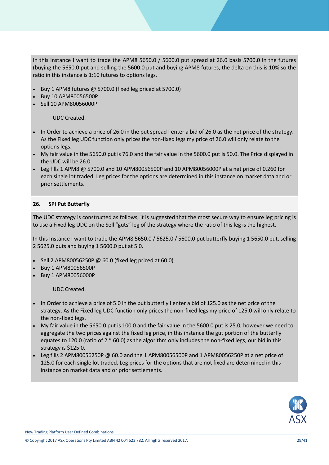In this Instance I want to trade the APM8 5650.0 / 5600.0 put spread at 26.0 basis 5700.0 in the futures (buying the 5650.0 put and selling the 5600.0 put and buying APM8 futures, the delta on this is 10% so the ratio in this instance is 1:10 futures to options legs.

- Buy 1 APM8 futures @ 5700.0 (fixed leg priced at 5700.0)
- Buy 10 APM80056500P
- Sell 10 APM80056000P

UDC Created.

- In Order to achieve a price of 26.0 in the put spread I enter a bid of 26.0 as the net price of the strategy. As the Fixed leg UDC function only prices the non-fixed legs my price of 26.0 will only relate to the options legs.
- My fair value in the 5650.0 put is 76.0 and the fair value in the 5600.0 put is 50.0. The Price displayed in the UDC will be 26.0.
- Leg fills 1 APM8  $\omega$  5700.0 and 10 APM80056500P and 10 APM80056000P at a net price of 0.260 for each single lot traded. Leg prices for the options are determined in this instance on market data and or prior settlements.

#### **26. SPI Put Butterfly**

The UDC strategy is constructed as follows, it is suggested that the most secure way to ensure leg pricing is to use a Fixed leg UDC on the Sell "guts" leg of the strategy where the ratio of this leg is the highest.

In this Instance I want to trade the APM8 5650.0 / 5625.0 / 5600.0 put butterfly buying 1 5650.0 put, selling 2 5625.0 puts and buying 1 5600.0 put at 5.0.

- Sell 2 APM80056250P @ 60.0 (fixed leg priced at 60.0)
- Buy 1 APM80056500P
- Buy 1 APM80056000P

- In Order to achieve a price of 5.0 in the put butterfly I enter a bid of 125.0 as the net price of the strategy. As the Fixed leg UDC function only prices the non-fixed legs my price of 125.0 will only relate to the non-fixed legs.
- My fair value in the 5650.0 put is 100.0 and the fair value in the 5600.0 put is 25.0, however we need to aggregate the two prices against the fixed leg price, in this instance the gut portion of the butterfly equates to 120.0 (ratio of 2 \* 60.0) as the algorithm only includes the non-fixed legs, our bid in this strategy is \$125.0.
- Leg fills 2 APM80056250P @ 60.0 and the 1 APM80056500P and 1 APM80056250P at a net price of 125.0 for each single lot traded. Leg prices for the options that are not fixed are determined in this instance on market data and or prior settlements.

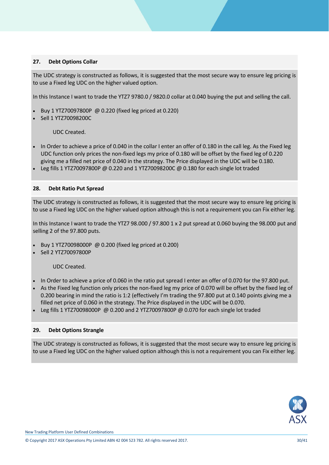#### **27. Debt Options Collar**

The UDC strategy is constructed as follows, it is suggested that the most secure way to ensure leg pricing is to use a Fixed leg UDC on the higher valued option.

In this Instance I want to trade the YTZ7 9780.0 / 9820.0 collar at 0.040 buying the put and selling the call.

- Buy 1 YTZ70097800P @ 0.220 (fixed leg priced at 0.220)
- Sell 1 YTZ70098200C

UDC Created.

- In Order to achieve a price of 0.040 in the collar I enter an offer of 0.180 in the call leg. As the Fixed leg UDC function only prices the non-fixed legs my price of 0.180 will be offset by the fixed leg of 0.220 giving me a filled net price of 0.040 in the strategy. The Price displayed in the UDC will be 0.180.
- Leg fills 1 YTZ70097800P @ 0.220 and 1 YTZ70098200C @ 0.180 for each single lot traded

#### **28. Debt Ratio Put Spread**

The UDC strategy is constructed as follows, it is suggested that the most secure way to ensure leg pricing is to use a Fixed leg UDC on the higher valued option although this is not a requirement you can Fix either leg.

In this Instance I want to trade the YTZ7 98.000 / 97.800 1 x 2 put spread at 0.060 buying the 98.000 put and selling 2 of the 97.800 puts.

- Buy 1 YTZ70098000P @ 0.200 (fixed leg priced at 0.200)
- Sell 2 YTZ70097800P

UDC Created.

- In Order to achieve a price of 0.060 in the ratio put spread I enter an offer of 0.070 for the 97.800 put.
- As the Fixed leg function only prices the non-fixed leg my price of 0.070 will be offset by the fixed leg of 0.200 bearing in mind the ratio is 1:2 (effectively I'm trading the 97.800 put at 0.140 points giving me a filled net price of 0.060 in the strategy. The Price displayed in the UDC will be 0.070.
- Leg fills 1 YTZ70098000P @ 0.200 and 2 YTZ70097800P @ 0.070 for each single lot traded

#### **29. Debt Options Strangle**

The UDC strategy is constructed as follows, it is suggested that the most secure way to ensure leg pricing is to use a Fixed leg UDC on the higher valued option although this is not a requirement you can Fix either leg.

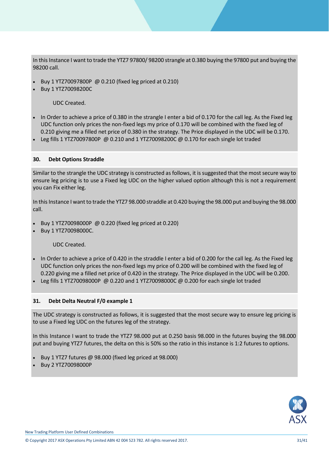In this Instance I want to trade the YTZ7 97800/ 98200 strangle at 0.380 buying the 97800 put and buying the 98200 call.

- Buy 1 YTZ70097800P @ 0.210 (fixed leg priced at 0.210)
- Buy 1 YTZ70098200C

UDC Created.

- In Order to achieve a price of 0.380 in the strangle I enter a bid of 0.170 for the call leg. As the Fixed leg UDC function only prices the non-fixed legs my price of 0.170 will be combined with the fixed leg of 0.210 giving me a filled net price of 0.380 in the strategy. The Price displayed in the UDC will be 0.170.
- Leg fills 1 YTZ70097800P @ 0.210 and 1 YTZ70098200C @ 0.170 for each single lot traded

#### **30. Debt Options Straddle**

Similar to the strangle the UDC strategy is constructed as follows, it is suggested that the most secure way to ensure leg pricing is to use a Fixed leg UDC on the higher valued option although this is not a requirement you can Fix either leg.

In thisInstance I want to trade the YTZ7 98.000 straddle at 0.420 buying the 98.000 put and buying the 98.000 call.

- Buy 1 YTZ70098000P @ 0.220 (fixed leg priced at 0.220)
- Buy 1 YTZ70098000C.

UDC Created.

- In Order to achieve a price of 0.420 in the straddle I enter a bid of 0.200 for the call leg. As the Fixed leg UDC function only prices the non-fixed legs my price of 0.200 will be combined with the fixed leg of 0.220 giving me a filled net price of 0.420 in the strategy. The Price displayed in the UDC will be 0.200.
- Leg fills 1 YTZ70098000P @ 0.220 and 1 YTZ70098000C @ 0.200 for each single lot traded

#### **31. Debt Delta Neutral F/0 example 1**

The UDC strategy is constructed as follows, it is suggested that the most secure way to ensure leg pricing is to use a Fixed leg UDC on the futures leg of the strategy.

In this Instance I want to trade the YTZ7 98.000 put at 0.250 basis 98.000 in the futures buying the 98.000 put and buying YTZ7 futures, the delta on this is 50% so the ratio in this instance is 1:2 futures to options.

- Buy 1 YTZ7 futures @ 98.000 (fixed leg priced at 98.000)
- Buy 2 YTZ70098000P

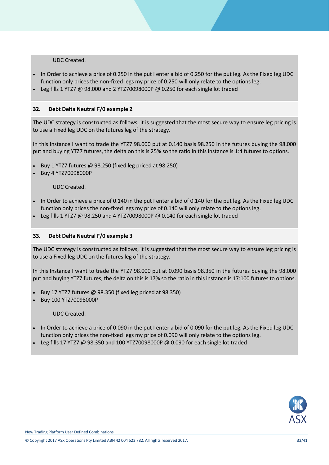UDC Created.

- In Order to achieve a price of 0.250 in the put I enter a bid of 0.250 for the put leg. As the Fixed leg UDC function only prices the non-fixed legs my price of 0.250 will only relate to the options leg.
- Leg fills 1 YTZ7 @ 98.000 and 2 YTZ70098000P @ 0.250 for each single lot traded

#### **32. Debt Delta Neutral F/0 example 2**

The UDC strategy is constructed as follows, it is suggested that the most secure way to ensure leg pricing is to use a Fixed leg UDC on the futures leg of the strategy.

In this Instance I want to trade the YTZ7 98.000 put at 0.140 basis 98.250 in the futures buying the 98.000 put and buying YTZ7 futures, the delta on this is 25% so the ratio in this instance is 1:4 futures to options.

- Buy 1 YTZ7 futures @ 98.250 (fixed leg priced at 98.250)
- Buy 4 YTZ70098000P

#### UDC Created.

- In Order to achieve a price of 0.140 in the put I enter a bid of 0.140 for the put leg. As the Fixed leg UDC function only prices the non-fixed legs my price of 0.140 will only relate to the options leg.
- Leg fills 1 YTZ7 @ 98.250 and 4 YTZ70098000P @ 0.140 for each single lot traded

#### **33. Debt Delta Neutral F/0 example 3**

The UDC strategy is constructed as follows, it is suggested that the most secure way to ensure leg pricing is to use a Fixed leg UDC on the futures leg of the strategy.

In this Instance I want to trade the YTZ7 98.000 put at 0.090 basis 98.350 in the futures buying the 98.000 put and buying YTZ7 futures, the delta on this is 17% so the ratio in this instance is 17:100 futures to options.

- Buy 17 YTZ7 futures @ 98.350 (fixed leg priced at 98.350)
- Buy 100 YTZ70098000P

- In Order to achieve a price of 0.090 in the put I enter a bid of 0.090 for the put leg. As the Fixed leg UDC function only prices the non-fixed legs my price of 0.090 will only relate to the options leg.
- Leg fills 17 YTZ7 @ 98.350 and 100 YTZ70098000P @ 0.090 for each single lot traded

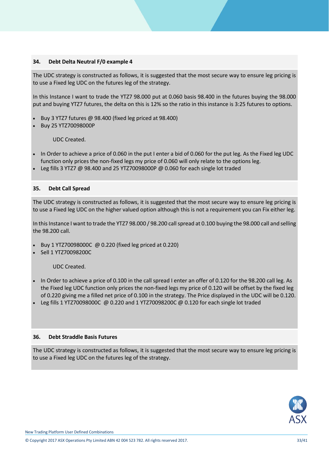#### **34. Debt Delta Neutral F/0 example 4**

The UDC strategy is constructed as follows, it is suggested that the most secure way to ensure leg pricing is to use a Fixed leg UDC on the futures leg of the strategy.

In this Instance I want to trade the YTZ7 98.000 put at 0.060 basis 98.400 in the futures buying the 98.000 put and buying YTZ7 futures, the delta on this is 12% so the ratio in this instance is 3:25 futures to options.

- Buy 3 YTZ7 futures @ 98.400 (fixed leg priced at 98.400)
- Buy 25 YTZ70098000P

UDC Created.

- In Order to achieve a price of 0.060 in the put I enter a bid of 0.060 for the put leg. As the Fixed leg UDC function only prices the non-fixed legs my price of 0.060 will only relate to the options leg.
- Leg fills 3 YTZ7 @ 98.400 and 25 YTZ70098000P @ 0.060 for each single lot traded

#### **35. Debt Call Spread**

The UDC strategy is constructed as follows, it is suggested that the most secure way to ensure leg pricing is to use a Fixed leg UDC on the higher valued option although this is not a requirement you can Fix either leg.

In this Instance I want to trade the YTZ7 98.000 / 98.200 call spread at 0.100 buying the 98.000 call and selling the 98.200 call.

- Buy 1 YTZ70098000C @ 0.220 (fixed leg priced at 0.220)
- Sell 1 YTZ70098200C

UDC Created.

- In Order to achieve a price of 0.100 in the call spread I enter an offer of 0.120 for the 98.200 call leg. As the Fixed leg UDC function only prices the non-fixed legs my price of 0.120 will be offset by the fixed leg of 0.220 giving me a filled net price of 0.100 in the strategy. The Price displayed in the UDC will be 0.120.
- Leg fills 1 YTZ70098000C @ 0.220 and 1 YTZ70098200C @ 0.120 for each single lot traded

#### **36. Debt Straddle Basis Futures**

The UDC strategy is constructed as follows, it is suggested that the most secure way to ensure leg pricing is to use a Fixed leg UDC on the futures leg of the strategy.

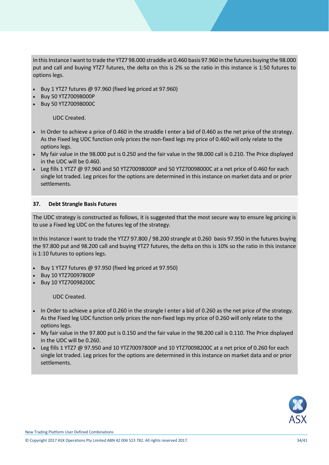In thisInstance I want to trade the YTZ7 98.000 straddle at 0.460 basis 97.960 in the futures buying the 98.000 put and call and buying YTZ7 futures, the delta on this is 2% so the ratio in this instance is 1:50 futures to options legs.

- Buy 1 YTZ7 futures @ 97.960 (fixed leg priced at 97.960)
- Buy 50 YTZ70098000P
- Buy 50 YTZ70098000C

UDC Created.

- In Order to achieve a price of 0.460 in the straddle I enter a bid of 0.460 as the net price of the strategy. As the Fixed leg UDC function only prices the non-fixed legs my price of 0.460 will only relate to the options legs.
- My fair value in the 98.000 put is 0.250 and the fair value in the 98.000 call is 0.210. The Price displayed in the UDC will be 0.460.
- Leg fills 1 YTZ7  $\omega$  97.960 and 50 YTZ70098000P and 50 YTZ70098000C at a net price of 0.460 for each single lot traded. Leg prices for the options are determined in this instance on market data and or prior settlements.

#### **37. Debt Strangle Basis Futures**

The UDC strategy is constructed as follows, it is suggested that the most secure way to ensure leg pricing is to use a Fixed leg UDC on the futures leg of the strategy.

In this Instance I want to trade the YTZ7 97.800 / 98.200 strangle at 0.260 basis 97.950 in the futures buying the 97.800 put and 98.200 call and buying YTZ7 futures, the delta on this is 10% so the ratio in this instance is 1:10 futures to options legs.

- Buy 1 YTZ7 futures @ 97.950 (fixed leg priced at 97.950)
- Buy 10 YTZ70097800P
- Buy 10 YTZ70098200C

- In Order to achieve a price of 0.260 in the strangle I enter a bid of 0.260 as the net price of the strategy. As the Fixed leg UDC function only prices the non-fixed legs my price of 0.260 will only relate to the options legs.
- My fair value in the 97.800 put is 0.150 and the fair value in the 98.200 call is 0.110. The Price displayed in the UDC will be 0.260.
- Leg fills 1 YTZ7 @ 97.950 and 10 YTZ70097800P and 10 YTZ70098200C at a net price of 0.260 for each single lot traded. Leg prices for the options are determined in this instance on market data and or prior settlements.

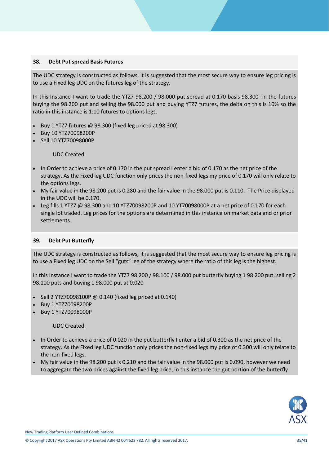#### **38. Debt Put spread Basis Futures**

The UDC strategy is constructed as follows, it is suggested that the most secure way to ensure leg pricing is to use a Fixed leg UDC on the futures leg of the strategy.

In this Instance I want to trade the YTZ7 98.200 / 98.000 put spread at 0.170 basis 98.300 in the futures buying the 98.200 put and selling the 98.000 put and buying YTZ7 futures, the delta on this is 10% so the ratio in this instance is 1:10 futures to options legs.

- Buy 1 YTZ7 futures @ 98.300 (fixed leg priced at 98.300)
- Buy 10 YTZ70098200P
- Sell 10 YTZ70098000P

UDC Created.

- In Order to achieve a price of 0.170 in the put spread I enter a bid of 0.170 as the net price of the strategy. As the Fixed leg UDC function only prices the non-fixed legs my price of 0.170 will only relate to the options legs.
- My fair value in the 98.200 put is 0.280 and the fair value in the 98.000 put is 0.110. The Price displayed in the UDC will be 0.170.
- Leg fills 1 YTZ7 @ 98.300 and 10 YTZ70098200P and 10 YT70098000P at a net price of 0.170 for each single lot traded. Leg prices for the options are determined in this instance on market data and or prior settlements.

#### **39. Debt Put Butterfly**

The UDC strategy is constructed as follows, it is suggested that the most secure way to ensure leg pricing is to use a Fixed leg UDC on the Sell "guts" leg of the strategy where the ratio of this leg is the highest.

In this Instance I want to trade the YTZ7 98.200 / 98.100 / 98.000 put butterfly buying 1 98.200 put, selling 2 98.100 puts and buying 1 98.000 put at 0.020

- Sell 2 YTZ70098100P @ 0.140 (fixed leg priced at 0.140)
- Buy 1 YTZ70098200P
- Buy 1 YTZ70098000P

UDC Created.

- In Order to achieve a price of 0.020 in the put butterfly I enter a bid of 0.300 as the net price of the strategy. As the Fixed leg UDC function only prices the non-fixed legs my price of 0.300 will only relate to the non-fixed legs.
- My fair value in the 98.200 put is 0.210 and the fair value in the 98.000 put is 0.090, however we need to aggregate the two prices against the fixed leg price, in this instance the gut portion of the butterfly



New Trading Platform User Defined Combinations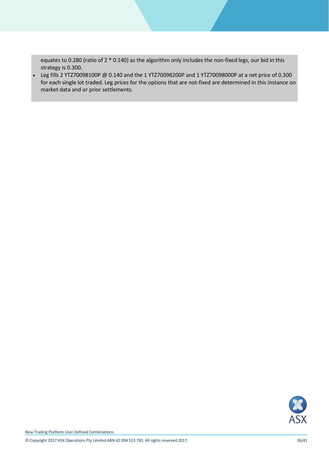equates to 0.280 (ratio of 2 \* 0.140) as the algorithm only includes the non-fixed legs, our bid in this strategy is 0.300.

 Leg fills 2 YTZ70098100P @ 0.140 and the 1 YTZ70098200P and 1 YTZ70098000P at a net price of 0.300 for each single lot traded. Leg prices for the options that are not-fixed are determined in this instance on market data and or prior settlements.



New Trading Platform User Defined Combinations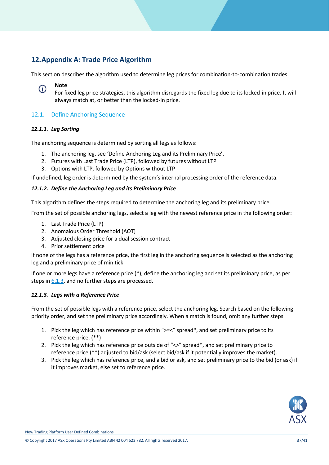### <span id="page-36-0"></span>**12.Appendix A: Trade Price Algorithm**

This section describes the algorithm used to determine leg prices for combination-to-combination trades.

#### **Note** G)

For fixed leg price strategies, this algorithm disregards the fixed leg due to its locked-in price. It will always match at, or better than the locked-in price.

### <span id="page-36-1"></span>12.1. Define Anchoring Sequence

#### <span id="page-36-2"></span>*12.1.1. Leg Sorting*

The anchoring sequence is determined by sorting all legs as follows:

- 1. The anchoring leg, see 'Define Anchoring Leg and its Preliminary Price'.
- 2. Futures with Last Trade Price (LTP), followed by futures without LTP
- 3. Options with LTP, followed by Options without LTP

If undefined, leg order is determined by the system's internal processing order of the reference data.

#### <span id="page-36-3"></span>*12.1.2. Define the Anchoring Leg and its Preliminary Price*

This algorithm defines the steps required to determine the anchoring leg and its preliminary price.

From the set of possible anchoring legs, select a leg with the newest reference price in the following order:

- 1. Last Trade Price (LTP)
- 2. Anomalous Order Threshold (AOT)
- 3. Adjusted closing price for a dual session contract
- 4. Prior settlement price

If none of the legs has a reference price, the first leg in the anchoring sequence is selected as the anchoring leg and a preliminary price of min tick.

If one or more legs have a reference price (\*), define the anchoring leg and set its preliminary price, as per steps in [6.1.3,](#page-36-4) and no further steps are processed.

#### <span id="page-36-4"></span>*12.1.3. Legs with a Reference Price*

From the set of possible legs with a reference price, select the anchoring leg. Search based on the following priority order, and set the preliminary price accordingly. When a match is found, omit any further steps.

- 1. Pick the leg which has reference price within ">=<" spread\*, and set preliminary price to its reference price. (\*\*)
- 2. Pick the leg which has reference price outside of " $\langle \rangle$ " spread\*, and set preliminary price to reference price (\*\*) adjusted to bid/ask (select bid/ask if it potentially improves the market).
- 3. Pick the leg which has reference price, and a bid or ask, and set preliminary price to the bid (or ask) if it improves market, else set to reference price.

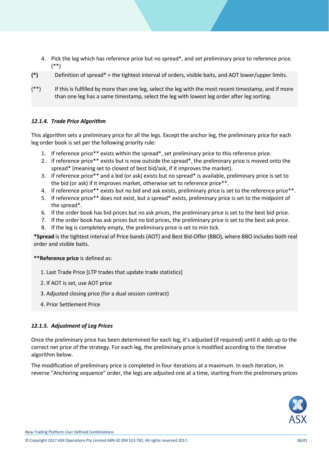- 4. Pick the leg which has reference price but no spread\*, and set preliminary price to reference price. (\*\*)
- **(\*)** Definition of spread\* = the tightest interval of orders, visible baits, and AOT lower/upper limits.
- (\*\*) If this is fulfilled by more than one leg, select the leg with the most recent timestamp, and if more than one leg has a same timestamp, select the leg with lowest leg order after leg sorting.

#### <span id="page-37-0"></span>*12.1.4. Trade Price Algorithm*

This algorithm sets a preliminary price for all the legs. Except the anchor leg, the preliminary price for each leg order book is set per the following priority rule:

- 1. If reference price\*\* exists within the spread\*, set preliminary price to this reference price.
- 2. If reference price\*\* exists but is now outside the spread\*, the preliminary price is moved onto the spread\* (meaning set to closest of best bid/ask, if it improves the market).
- 3. If reference price\*\* and a bid (or ask) exists but no spread\* is available, preliminary price is set to the bid (or ask) if it improves market, otherwise set to reference price\*\*.
- 4. If reference price\*\* exists but no bid and ask exists, preliminary price is set to the reference price\*\*.
- 5. If reference price\*\* does not exist, but a spread\* exists, preliminary price is set to the midpoint of the spread\*.
- 6. If the order book has bid prices but no ask prices, the preliminary price is set to the best bid price.
- 7. If the order book has ask prices but no bid prices, the preliminary price is set to the best ask price.
- 8. If the leg is completely empty, the preliminary price is set to min tick.

**\*Spread** is the tightest interval of Price bands (AOT) and Best Bid-Offer (BBO), where BBO includes both real order and visible baits.

#### **\*\*Reference price** is defined as:

- 1. Last Trade Price [LTP trades that update trade statistics]
- 2. If AOT is set, use AOT price
- 3. Adjusted closing price (for a dual session contract)
- 4. Prior Settlement Price

#### <span id="page-37-1"></span>*12.1.5. Adjustment of Leg Prices*

Once the preliminary price has been determined for each leg, it's adjusted (if required) until it adds up to the correct net price of the strategy. For each leg, the preliminary price is modified according to the iterative algorithm below.

The modification of preliminary price is completed in four iterations at a maximum. In each iteration, in reverse "Anchoring sequence" order, the legs are adjusted one at a time, starting from the preliminary prices

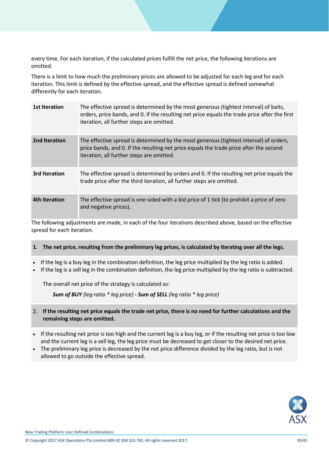every time. For each iteration, if the calculated prices fulfill the net price, the following iterations are omitted.

There is a limit to how much the preliminary prices are allowed to be adjusted for each leg and for each iteration. This limit is defined by the effective spread, and the effective spread is defined somewhat differently for each iteration.

| 1st Iteration        | The effective spread is determined by the most generous (tightest interval) of baits,<br>orders, price bands, and 0. If the resulting net price equals the trade price after the first<br>iteration, all further steps are omitted. |
|----------------------|-------------------------------------------------------------------------------------------------------------------------------------------------------------------------------------------------------------------------------------|
| 2nd Iteration        | The effective spread is determined by the most generous (tightest interval) of orders,<br>price bands, and 0. If the resulting net price equals the trade price after the second<br>iteration, all further steps are omitted.       |
| <b>3rd Iteration</b> | The effective spread is determined by orders and 0. If the resulting net price equals the<br>trade price after the third iteration, all further steps are omitted.                                                                  |
| 4th Iteration        | The effective spread is one-sided with a bid price of 1 tick (to prohibit a price of zero<br>and negative prices).                                                                                                                  |

The following adjustments are made, in each of the four iterations described above, based on the effective spread for each iteration.

#### **1. The net price, resulting from the preliminary leg prices, is calculated by iterating over all the legs.**

- If the leg is a buy leg in the combination definition, the leg price multiplied by the leg ratio is added.
- If the leg is a sell leg in the combination definition, the leg price multiplied by the leg ratio is subtracted.

The overall net price of the strategy is calculated as:

*Sum of BUY (leg ratio \* leg price) - Sum of SELL (leg ratio \* leg price)*

- 2. **If the resulting net price equals the trade net price, there is no need for further calculations and the remaining steps are omitted.**
- If the resulting net price is too high and the current leg is a buy leg, or if the resulting net price is too low and the current leg is a sell leg, the leg price must be decreased to get closer to the desired net price.
- The preliminary leg price is decreased by the net price difference divided by the leg ratio, but is not allowed to go outside the effective spread.

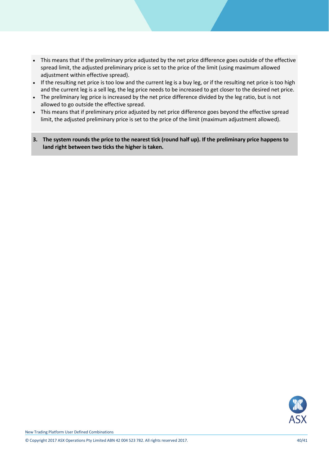- This means that if the preliminary price adjusted by the net price difference goes outside of the effective spread limit, the adjusted preliminary price is set to the price of the limit (using maximum allowed adjustment within effective spread).
- If the resulting net price is too low and the current leg is a buy leg, or if the resulting net price is too high and the current leg is a sell leg, the leg price needs to be increased to get closer to the desired net price.
- The preliminary leg price is increased by the net price difference divided by the leg ratio, but is not allowed to go outside the effective spread.
- This means that if preliminary price adjusted by net price difference goes beyond the effective spread limit, the adjusted preliminary price is set to the price of the limit (maximum adjustment allowed).
- **3. The system rounds the price to the nearest tick (round half up). If the preliminary price happens to land right between two ticks the higher is taken.**